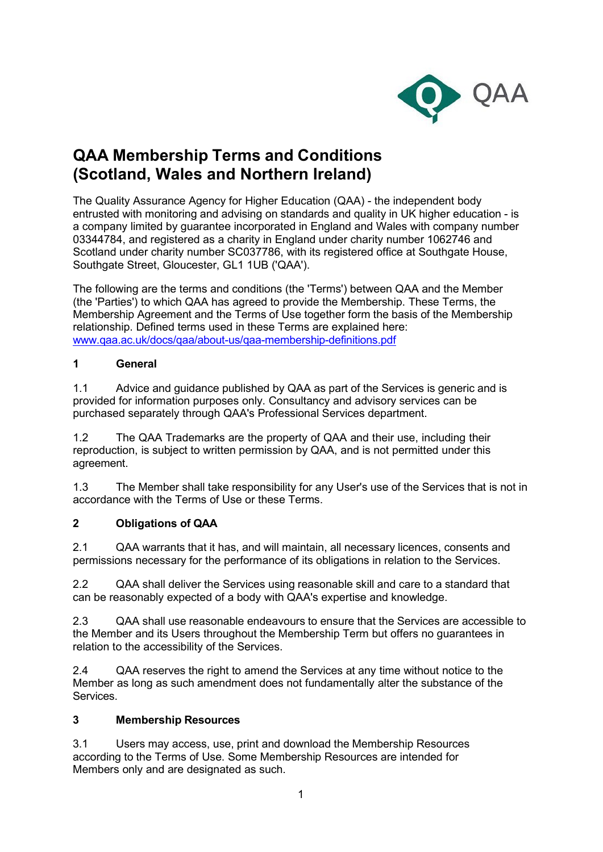

# **QAA Membership Terms and Conditions (Scotland, Wales and Northern Ireland)**

The Quality Assurance Agency for Higher Education (QAA) - the independent body entrusted with monitoring and advising on standards and quality in UK higher education - is a company limited by guarantee incorporated in England and Wales with company number 03344784, and registered as a charity in England under charity number 1062746 and Scotland under charity number SC037786, with its registered office at Southgate House, Southgate Street, Gloucester, GL1 1UB ('QAA').

The following are the terms and conditions (the 'Terms') between QAA and the Member (the 'Parties') to which QAA has agreed to provide the Membership. These Terms, the Membership Agreement and the Terms of Use together form the basis of the Membership relationship. Defined terms used in these Terms are explained here: [www.qaa.ac.uk/docs/qaa/about-us/qaa-membership-definitions.pdf](https://www.qaa.ac.uk/docs/qaa/about-us/qaa-membership-definitions.pdf)

### **1 General**

1.1 Advice and guidance published by QAA as part of the Services is generic and is provided for information purposes only. Consultancy and advisory services can be purchased separately through QAA's Professional Services department.

1.2 The QAA Trademarks are the property of QAA and their use, including their reproduction, is subject to written permission by QAA, and is not permitted under this agreement.

1.3 The Member shall take responsibility for any User's use of the Services that is not in accordance with the Terms of Use or these Terms.

## **2 Obligations of QAA**

2.1 QAA warrants that it has, and will maintain, all necessary licences, consents and permissions necessary for the performance of its obligations in relation to the Services.

2.2 QAA shall deliver the Services using reasonable skill and care to a standard that can be reasonably expected of a body with QAA's expertise and knowledge.

2.3 QAA shall use reasonable endeavours to ensure that the Services are accessible to the Member and its Users throughout the Membership Term but offers no guarantees in relation to the accessibility of the Services.

2.4 QAA reserves the right to amend the Services at any time without notice to the Member as long as such amendment does not fundamentally alter the substance of the Services.

#### **3 Membership Resources**

3.1 Users may access, use, print and download the Membership Resources according to the Terms of Use. Some Membership Resources are intended for Members only and are designated as such.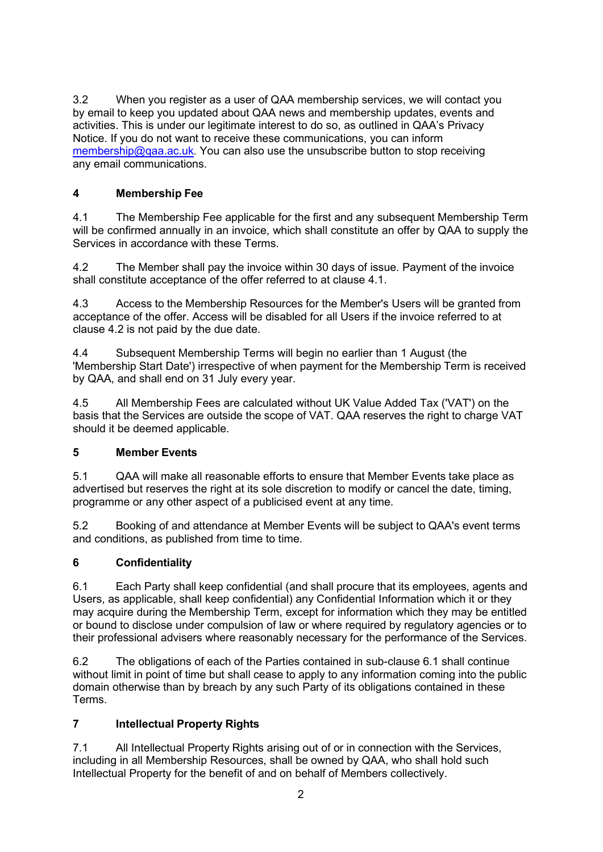3.2 When you register as a user of QAA membership services, we will contact you by email to keep you updated about QAA news and membership updates, events and activities. This is under our legitimate interest to do so, as outlined in QAA's Privacy Notice. If you do not want to receive these communications, you can inform [membership@qaa.ac.uk.](mailto:membership@qaa.ac.uk) You can also use the unsubscribe button to stop receiving any email communications.

# **4 Membership Fee**

4.1 The Membership Fee applicable for the first and any subsequent Membership Term will be confirmed annually in an invoice, which shall constitute an offer by QAA to supply the Services in accordance with these Terms.

4.2 The Member shall pay the invoice within 30 days of issue. Payment of the invoice shall constitute acceptance of the offer referred to at clause 4.1.

4.3 Access to the Membership Resources for the Member's Users will be granted from acceptance of the offer. Access will be disabled for all Users if the invoice referred to at clause 4.2 is not paid by the due date.

4.4 Subsequent Membership Terms will begin no earlier than 1 August (the 'Membership Start Date') irrespective of when payment for the Membership Term is received by QAA, and shall end on 31 July every year.

4.5 All Membership Fees are calculated without UK Value Added Tax ('VAT') on the basis that the Services are outside the scope of VAT. QAA reserves the right to charge VAT should it be deemed applicable.

## **5 Member Events**

5.1 QAA will make all reasonable efforts to ensure that Member Events take place as advertised but reserves the right at its sole discretion to modify or cancel the date, timing, programme or any other aspect of a publicised event at any time.

5.2 Booking of and attendance at Member Events will be subject to QAA's event terms and conditions, as published from time to time.

## **6 Confidentiality**

6.1 Each Party shall keep confidential (and shall procure that its employees, agents and Users, as applicable, shall keep confidential) any Confidential Information which it or they may acquire during the Membership Term, except for information which they may be entitled or bound to disclose under compulsion of law or where required by regulatory agencies or to their professional advisers where reasonably necessary for the performance of the Services.

6.2 The obligations of each of the Parties contained in sub-clause 6.1 shall continue without limit in point of time but shall cease to apply to any information coming into the public domain otherwise than by breach by any such Party of its obligations contained in these Terms.

## **7 Intellectual Property Rights**

7.1 All Intellectual Property Rights arising out of or in connection with the Services, including in all Membership Resources, shall be owned by QAA, who shall hold such Intellectual Property for the benefit of and on behalf of Members collectively.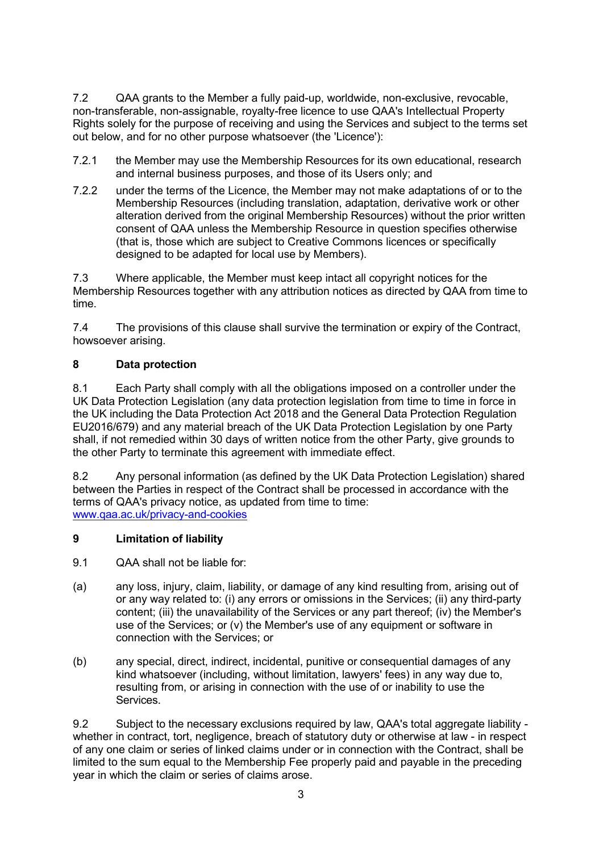7.2 QAA grants to the Member a fully paid-up, worldwide, non-exclusive, revocable, non-transferable, non-assignable, royalty-free licence to use QAA's Intellectual Property Rights solely for the purpose of receiving and using the Services and subject to the terms set out below, and for no other purpose whatsoever (the 'Licence'):

- 7.2.1 the Member may use the Membership Resources for its own educational, research and internal business purposes, and those of its Users only; and
- 7.2.2 under the terms of the Licence, the Member may not make adaptations of or to the Membership Resources (including translation, adaptation, derivative work or other alteration derived from the original Membership Resources) without the prior written consent of QAA unless the Membership Resource in question specifies otherwise (that is, those which are subject to Creative Commons licences or specifically designed to be adapted for local use by Members).

7.3 Where applicable, the Member must keep intact all copyright notices for the Membership Resources together with any attribution notices as directed by QAA from time to time.

7.4 The provisions of this clause shall survive the termination or expiry of the Contract, howsoever arising.

### **8 Data protection**

8.1 Each Party shall comply with all the obligations imposed on a controller under the UK Data Protection Legislation (any data protection legislation from time to time in force in the UK including the Data Protection Act 2018 and the General Data Protection Regulation EU2016/679) and any material breach of the UK Data Protection Legislation by one Party shall, if not remedied within 30 days of written notice from the other Party, give grounds to the other Party to terminate this agreement with immediate effect.

8.2 Any personal information (as defined by the UK Data Protection Legislation) shared between the Parties in respect of the Contract shall be processed in accordance with the terms of QAA's privacy notice, as updated from time to time: [www.qaa.ac.uk/privacy-and-cookies](http://www.qaa.ac.uk/privacy-and-cookies)

#### **9 Limitation of liability**

9.1 QAA shall not be liable for:

- (a) any loss, injury, claim, liability, or damage of any kind resulting from, arising out of or any way related to: (i) any errors or omissions in the Services; (ii) any third-party content; (iii) the unavailability of the Services or any part thereof; (iv) the Member's use of the Services; or (v) the Member's use of any equipment or software in connection with the Services; or
- (b) any special, direct, indirect, incidental, punitive or consequential damages of any kind whatsoever (including, without limitation, lawyers' fees) in any way due to, resulting from, or arising in connection with the use of or inability to use the Services.

9.2 Subject to the necessary exclusions required by law, QAA's total aggregate liability whether in contract, tort, negligence, breach of statutory duty or otherwise at law - in respect of any one claim or series of linked claims under or in connection with the Contract, shall be limited to the sum equal to the Membership Fee properly paid and payable in the preceding year in which the claim or series of claims arose.